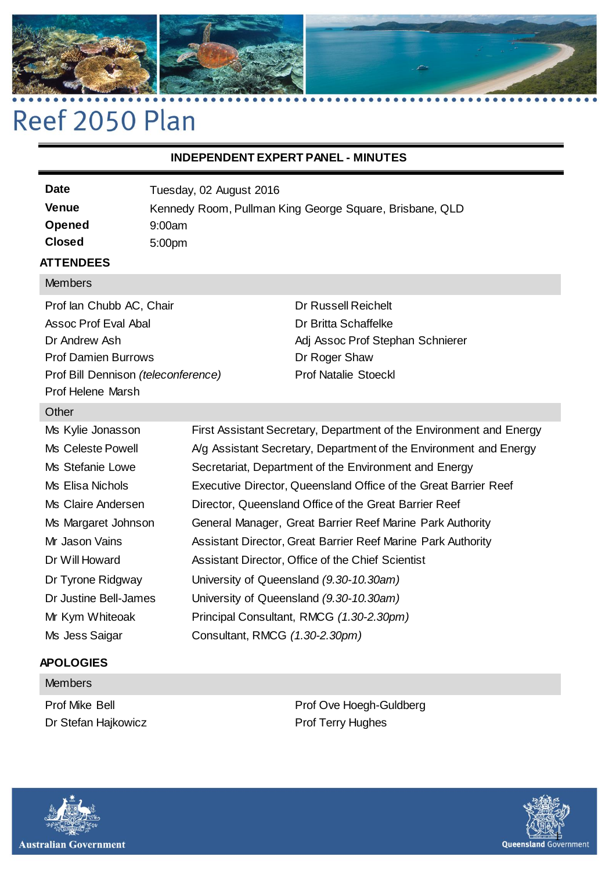

# Reef 2050 Plan

### **INDEPENDENT EXPERT PANEL - MINUTES**

| <b>Date</b>   | Tuesday, 02 August 2016                                 |
|---------------|---------------------------------------------------------|
| Venue         | Kennedy Room, Pullman King George Square, Brisbane, QLD |
| Opened        | 9:00am                                                  |
| <b>Closed</b> | 5:00 <sub>pm</sub>                                      |
|               |                                                         |

### **ATTENDEES**

### **Members**

Prof Ian Chubb AC, Chair Assoc Prof Eval Abal Dr Andrew Ash Prof Damien Burrows Prof Bill Dennison *(teleconference)* Prof Helene Marsh

Dr Russell Reichelt Dr Britta Schaffelke Adj Assoc Prof Stephan Schnierer Dr Roger Shaw Prof Natalie Stoeckl

### **Other**

Ms Kylie Jonasson First Assistant Secretary, Department of the Environment and Energy Ms Celeste Powell A/g Assistant Secretary, Department of the Environment and Energy Ms Stefanie Lowe Secretariat, Department of the Environment and Energy Ms Elisa Nichols **Executive Director, Queensland Office of the Great Barrier Reef** Ms Claire Andersen Director, Queensland Office of the Great Barrier Reef Ms Margaret Johnson General Manager, Great Barrier Reef Marine Park Authority Mr Jason Vains **Assistant Director, Great Barrier Reef Marine Park Authority** Dr Will Howard **Assistant Director, Office of the Chief Scientist** Dr Tyrone Ridgway University of Queensland *(9.30-10.30am)* Dr Justine Bell-James University of Queensland *(9.30-10.30am)* Mr Kym Whiteoak Principal Consultant, RMCG *(1.30-2.30pm)* Ms Jess Saigar Consultant, RMCG *(1.30-2.30pm)*

## **APOLOGIES Members**

Prof Mike Bell Dr Stefan Hajkowicz

Prof Ove Hoegh-Guldberg Prof Terry Hughes



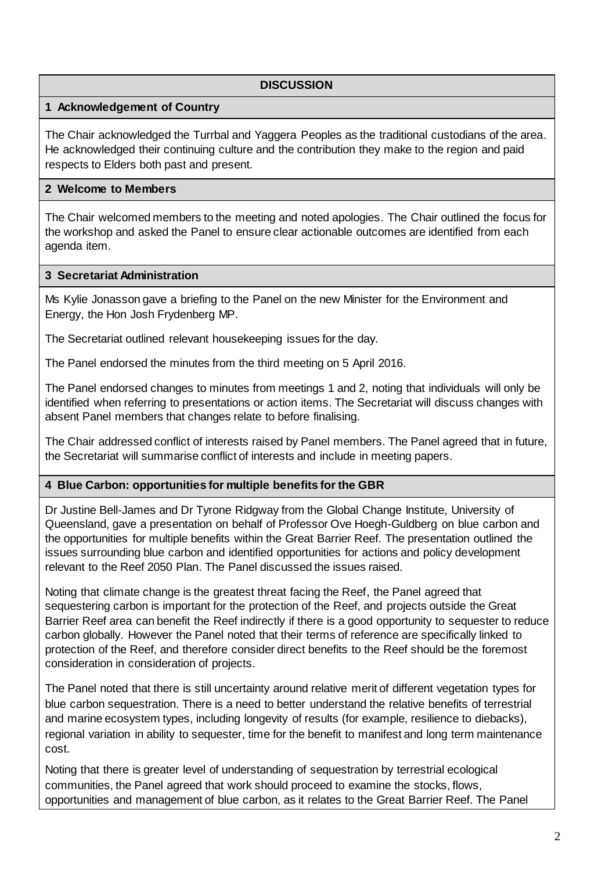### **1 Acknowledgement of Country**

The Chair acknowledged the Turrbal and Yaggera Peoples as the traditional custodians of the area. He acknowledged their continuing culture and the contribution they make to the region and paid respects to Elders both past and present.

### **2 Welcome to Members**

The Chair welcomed members to the meeting and noted apologies. The Chair outlined the focus for the workshop and asked the Panel to ensure clear actionable outcomes are identified from each agenda item.

### **3 Secretariat Administration**

Ms Kylie Jonasson gave a briefing to the Panel on the new Minister for the Environment and Energy, the Hon Josh Frydenberg MP.

The Secretariat outlined relevant housekeeping issues for the day.

The Panel endorsed the minutes from the third meeting on 5 April 2016.

The Panel endorsed changes to minutes from meetings 1 and 2, noting that individuals will only be identified when referring to presentations or action items. The Secretariat will discuss changes with absent Panel members that changes relate to before finalising.

The Chair addressed conflict of interests raised by Panel members. The Panel agreed that in future, the Secretariat will summarise conflict of interests and include in meeting papers.

### **4 Blue Carbon: opportunities for multiple benefits for the GBR**

Dr Justine Bell-James and Dr Tyrone Ridgway from the Global Change Institute, University of Queensland, gave a presentation on behalf of Professor Ove Hoegh-Guldberg on blue carbon and the opportunities for multiple benefits within the Great Barrier Reef. The presentation outlined the issues surrounding blue carbon and identified opportunities for actions and policy development relevant to the Reef 2050 Plan. The Panel discussed the issues raised.

Noting that climate change is the greatest threat facing the Reef, the Panel agreed that sequestering carbon is important for the protection of the Reef, and projects outside the Great Barrier Reef area can benefit the Reef indirectly if there is a good opportunity to sequester to reduce carbon globally. However the Panel noted that their terms of reference are specifically linked to protection of the Reef, and therefore consider direct benefits to the Reef should be the foremost consideration in consideration of projects.

The Panel noted that there is still uncertainty around relative merit of different vegetation types for blue carbon sequestration. There is a need to better understand the relative benefits of terrestrial and marine ecosystem types, including longevity of results (for example, resilience to diebacks), regional variation in ability to sequester, time for the benefit to manifest and long term maintenance cost.

Noting that there is greater level of understanding of sequestration by terrestrial ecological communities, the Panel agreed that work should proceed to examine the stocks, flows, opportunities and management of blue carbon, as it relates to the Great Barrier Reef. The Panel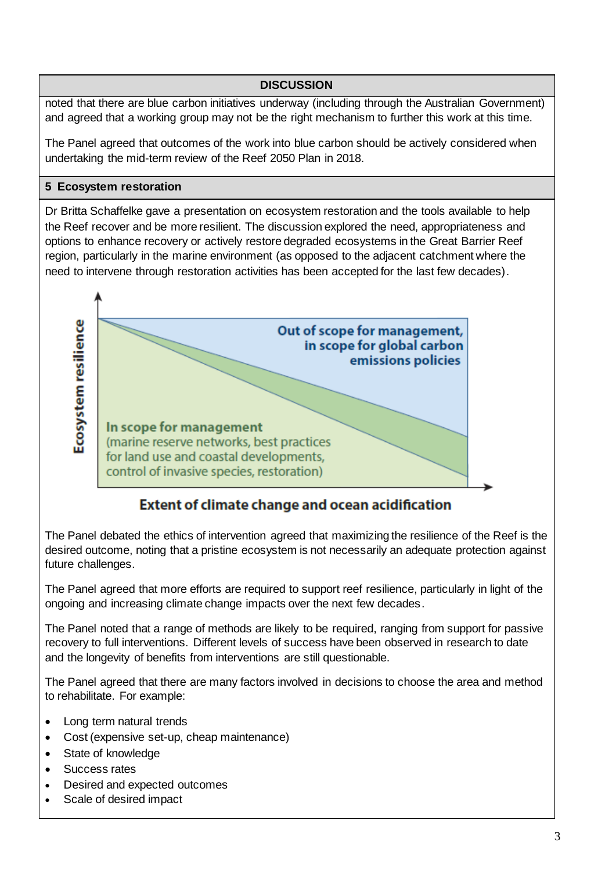noted that there are blue carbon initiatives underway (including through the Australian Government) and agreed that a working group may not be the right mechanism to further this work at this time.

The Panel agreed that outcomes of the work into blue carbon should be actively considered when undertaking the mid-term review of the Reef 2050 Plan in 2018.

### **5 Ecosystem restoration**

Dr Britta Schaffelke gave a presentation on ecosystem restoration and the tools available to help the Reef recover and be more resilient. The discussion explored the need, appropriateness and options to enhance recovery or actively restore degraded ecosystems in the Great Barrier Reef region, particularly in the marine environment (as opposed to the adjacent catchment where the need to intervene through restoration activities has been accepted for the last few decades).



# **Extent of climate change and ocean acidification**

The Panel debated the ethics of intervention agreed that maximizing the resilience of the Reef is the desired outcome, noting that a pristine ecosystem is not necessarily an adequate protection against future challenges.

The Panel agreed that more efforts are required to support reef resilience, particularly in light of the ongoing and increasing climate change impacts over the next few decades.

The Panel noted that a range of methods are likely to be required, ranging from support for passive recovery to full interventions. Different levels of success have been observed in research to date and the longevity of benefits from interventions are still questionable.

The Panel agreed that there are many factors involved in decisions to choose the area and method to rehabilitate. For example:

- Long term natural trends
- Cost (expensive set-up, cheap maintenance)
- State of knowledge
- Success rates
- Desired and expected outcomes
- Scale of desired impact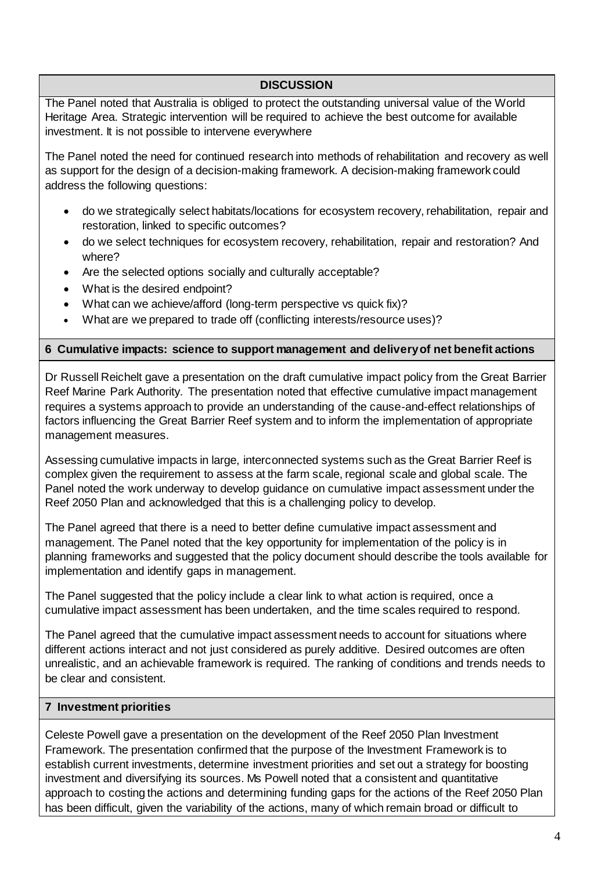The Panel noted that Australia is obliged to protect the outstanding universal value of the World Heritage Area. Strategic intervention will be required to achieve the best outcome for available investment. It is not possible to intervene everywhere

The Panel noted the need for continued research into methods of rehabilitation and recovery as well as support for the design of a decision-making framework. A decision-making framework could address the following questions:

- do we strategically select habitats/locations for ecosystem recovery, rehabilitation, repair and restoration, linked to specific outcomes?
- do we select techniques for ecosystem recovery, rehabilitation, repair and restoration? And where?
- Are the selected options socially and culturally acceptable?
- What is the desired endpoint?
- What can we achieve/afford (long-term perspective vs quick fix)?
- What are we prepared to trade off (conflicting interests/resource uses)?

### **6 Cumulative impacts: science to support management and delivery of net benefit actions**

Dr Russell Reichelt gave a presentation on the draft cumulative impact policy from the Great Barrier Reef Marine Park Authority. The presentation noted that effective cumulative impact management requires a systems approach to provide an understanding of the cause-and-effect relationships of factors influencing the Great Barrier Reef system and to inform the implementation of appropriate management measures.

Assessing cumulative impacts in large, interconnected systems such as the Great Barrier Reef is complex given the requirement to assess at the farm scale, regional scale and global scale. The Panel noted the work underway to develop guidance on cumulative impact assessment under the Reef 2050 Plan and acknowledged that this is a challenging policy to develop.

The Panel agreed that there is a need to better define cumulative impact assessment and management. The Panel noted that the key opportunity for implementation of the policy is in planning frameworks and suggested that the policy document should describe the tools available for implementation and identify gaps in management.

The Panel suggested that the policy include a clear link to what action is required, once a cumulative impact assessment has been undertaken, and the time scales required to respond.

The Panel agreed that the cumulative impact assessment needs to account for situations where different actions interact and not just considered as purely additive. Desired outcomes are often unrealistic, and an achievable framework is required. The ranking of conditions and trends needs to be clear and consistent.

### **7 Investment priorities**

Celeste Powell gave a presentation on the development of the Reef 2050 Plan Investment Framework. The presentation confirmed that the purpose of the Investment Framework is to establish current investments, determine investment priorities and set out a strategy for boosting investment and diversifying its sources. Ms Powell noted that a consistent and quantitative approach to costing the actions and determining funding gaps for the actions of the Reef 2050 Plan has been difficult, given the variability of the actions, many of which remain broad or difficult to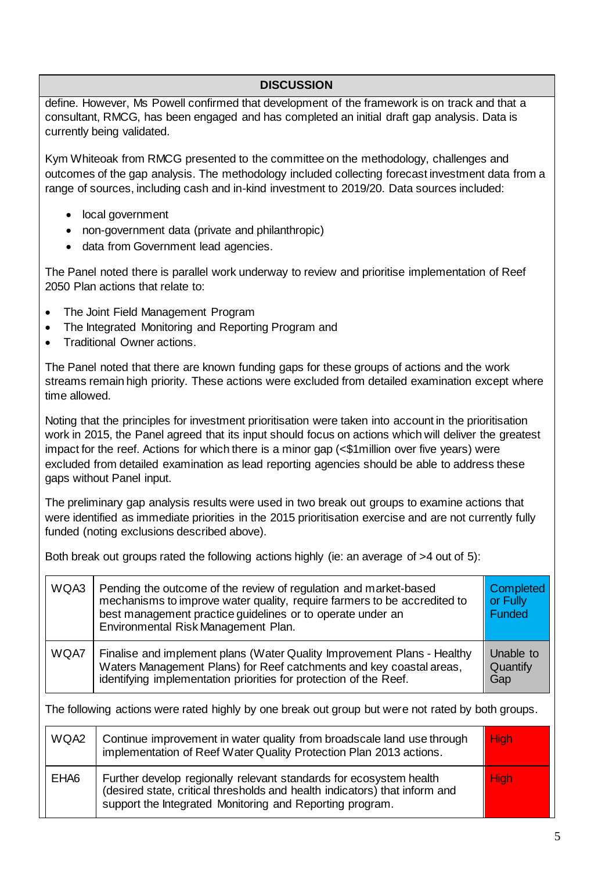define. However, Ms Powell confirmed that development of the framework is on track and that a consultant, RMCG, has been engaged and has completed an initial draft gap analysis. Data is currently being validated.

Kym Whiteoak from RMCG presented to the committee on the methodology, challenges and outcomes of the gap analysis. The methodology included collecting forecast investment data from a range of sources, including cash and in-kind investment to 2019/20. Data sources included:

- local government
- non-government data (private and philanthropic)
- data from Government lead agencies.

The Panel noted there is parallel work underway to review and prioritise implementation of Reef 2050 Plan actions that relate to:

- The Joint Field Management Program
- The Integrated Monitoring and Reporting Program and
- Traditional Owner actions.

The Panel noted that there are known funding gaps for these groups of actions and the work streams remain high priority. These actions were excluded from detailed examination except where time allowed.

Noting that the principles for investment prioritisation were taken into account in the prioritisation work in 2015, the Panel agreed that its input should focus on actions which will deliver the greatest impact for the reef. Actions for which there is a minor gap (<\$1million over five years) were excluded from detailed examination as lead reporting agencies should be able to address these gaps without Panel input.

The preliminary gap analysis results were used in two break out groups to examine actions that were identified as immediate priorities in the 2015 prioritisation exercise and are not currently fully funded (noting exclusions described above).

Both break out groups rated the following actions highly (ie: an average of >4 out of 5):

| WQA3                                                                                              | Pending the outcome of the review of regulation and market-based<br>mechanisms to improve water quality, require farmers to be accredited to<br>best management practice guidelines or to operate under an<br>Environmental Risk Management Plan.   | Completed<br>or Fully<br><b>Funded</b> |  |  |
|---------------------------------------------------------------------------------------------------|-----------------------------------------------------------------------------------------------------------------------------------------------------------------------------------------------------------------------------------------------------|----------------------------------------|--|--|
| WQA7                                                                                              | Finalise and implement plans (Water Quality Improvement Plans - Healthy<br>Unable to<br>Waters Management Plans) for Reef catchments and key coastal areas,<br>Quantify<br>identifying implementation priorities for protection of the Reef.<br>Gap |                                        |  |  |
| The following actions were rated highly by one break out group but were not rated by both groups. |                                                                                                                                                                                                                                                     |                                        |  |  |
| WQA2                                                                                              | Continue improvement in water quality from broadscale land use through<br>implementation of Reef Water Quality Protection Plan 2013 actions.                                                                                                        | <b>High</b>                            |  |  |
| EHA <sub>6</sub>                                                                                  | Further develop regionally relevant standards for ecosystem health<br>(desired state, critical thresholds and health indicators) that inform and<br>support the Integrated Monitoring and Reporting program.                                        | <b>High</b>                            |  |  |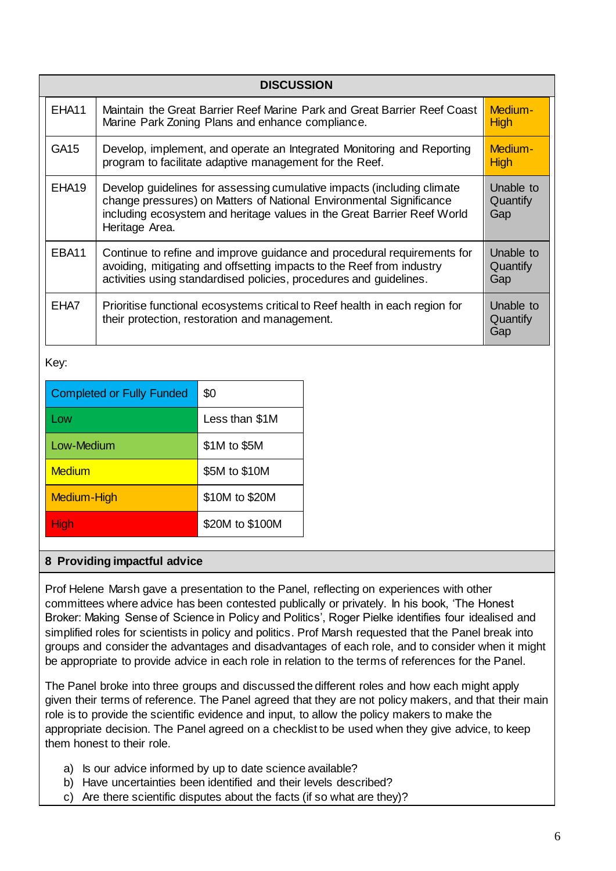| <b>DISCUSSION</b> |                                                                                                                                                                                                                                            |                              |  |  |  |
|-------------------|--------------------------------------------------------------------------------------------------------------------------------------------------------------------------------------------------------------------------------------------|------------------------------|--|--|--|
| EHA11             | Maintain the Great Barrier Reef Marine Park and Great Barrier Reef Coast<br>Marine Park Zoning Plans and enhance compliance.                                                                                                               | Medium-<br><b>High</b>       |  |  |  |
| GA <sub>15</sub>  | Develop, implement, and operate an Integrated Monitoring and Reporting<br>program to facilitate adaptive management for the Reef.                                                                                                          | Medium-<br>High              |  |  |  |
| EHA <sub>19</sub> | Develop guidelines for assessing cumulative impacts (including climate<br>change pressures) on Matters of National Environmental Significance<br>including ecosystem and heritage values in the Great Barrier Reef World<br>Heritage Area. | Unable to<br>Quantify<br>Gap |  |  |  |
| EBA11             | Continue to refine and improve guidance and procedural requirements for<br>avoiding, mitigating and offsetting impacts to the Reef from industry<br>activities using standardised policies, procedures and guidelines.                     | Unable to<br>Quantify<br>Gap |  |  |  |
| EHA7              | Prioritise functional ecosystems critical to Reef health in each region for<br>their protection, restoration and management.                                                                                                               | Unable to<br>Quantify<br>Gap |  |  |  |

Key:

| <b>Completed or Fully Funded</b> | \$0             |  |
|----------------------------------|-----------------|--|
| Low                              | Less than \$1M  |  |
| Low-Medium                       | \$1M to \$5M    |  |
| Medium                           | \$5M to \$10M   |  |
| Medium-High                      | \$10M to \$20M  |  |
| High                             | \$20M to \$100M |  |

### **8 Providing impactful advice**

Prof Helene Marsh gave a presentation to the Panel, reflecting on experiences with other committees where advice has been contested publically or privately. In his book, 'The Honest Broker: Making Sense of Science in Policy and Politics', Roger Pielke identifies four idealised and simplified roles for scientists in policy and politics. Prof Marsh requested that the Panel break into groups and consider the advantages and disadvantages of each role, and to consider when it might be appropriate to provide advice in each role in relation to the terms of references for the Panel.

The Panel broke into three groups and discussed the different roles and how each might apply given their terms of reference. The Panel agreed that they are not policy makers, and that their main role is to provide the scientific evidence and input, to allow the policy makers to make the appropriate decision. The Panel agreed on a checklist to be used when they give advice, to keep them honest to their role.

- a) Is our advice informed by up to date science available?
- b) Have uncertainties been identified and their levels described?
- c) Are there scientific disputes about the facts (if so what are they)?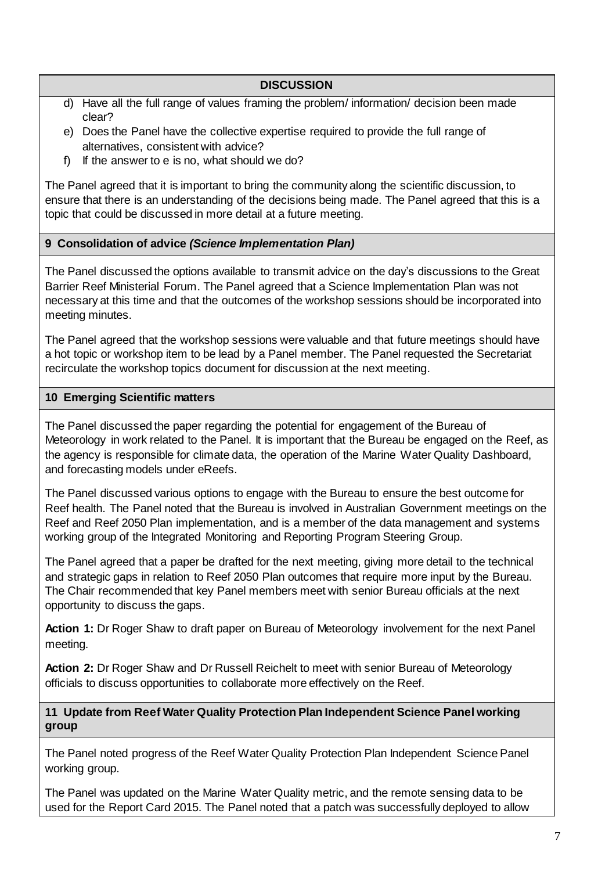- d) Have all the full range of values framing the problem/ information/ decision been made clear?
- e) Does the Panel have the collective expertise required to provide the full range of alternatives, consistent with advice?
- f) If the answer to e is no, what should we do?

The Panel agreed that it is important to bring the community along the scientific discussion, to ensure that there is an understanding of the decisions being made. The Panel agreed that this is a topic that could be discussed in more detail at a future meeting.

### **9 Consolidation of advice** *(Science Implementation Plan)*

The Panel discussed the options available to transmit advice on the day's discussions to the Great Barrier Reef Ministerial Forum. The Panel agreed that a Science Implementation Plan was not necessary at this time and that the outcomes of the workshop sessions should be incorporated into meeting minutes.

The Panel agreed that the workshop sessions were valuable and that future meetings should have a hot topic or workshop item to be lead by a Panel member. The Panel requested the Secretariat recirculate the workshop topics document for discussion at the next meeting.

### **10 Emerging Scientific matters**

The Panel discussed the paper regarding the potential for engagement of the Bureau of Meteorology in work related to the Panel. It is important that the Bureau be engaged on the Reef, as the agency is responsible for climate data, the operation of the Marine Water Quality Dashboard, and forecasting models under eReefs.

The Panel discussed various options to engage with the Bureau to ensure the best outcome for Reef health. The Panel noted that the Bureau is involved in Australian Government meetings on the Reef and Reef 2050 Plan implementation, and is a member of the data management and systems working group of the Integrated Monitoring and Reporting Program Steering Group.

The Panel agreed that a paper be drafted for the next meeting, giving more detail to the technical and strategic gaps in relation to Reef 2050 Plan outcomes that require more input by the Bureau. The Chair recommended that key Panel members meet with senior Bureau officials at the next opportunity to discuss the gaps.

**Action 1:** Dr Roger Shaw to draft paper on Bureau of Meteorology involvement for the next Panel meeting.

**Action 2:** Dr Roger Shaw and Dr Russell Reichelt to meet with senior Bureau of Meteorology officials to discuss opportunities to collaborate more effectively on the Reef.

**11 Update from Reef Water Quality Protection Plan Independent Science Panel working group**

The Panel noted progress of the Reef Water Quality Protection Plan Independent Science Panel working group.

The Panel was updated on the Marine Water Quality metric, and the remote sensing data to be used for the Report Card 2015. The Panel noted that a patch was successfully deployed to allow